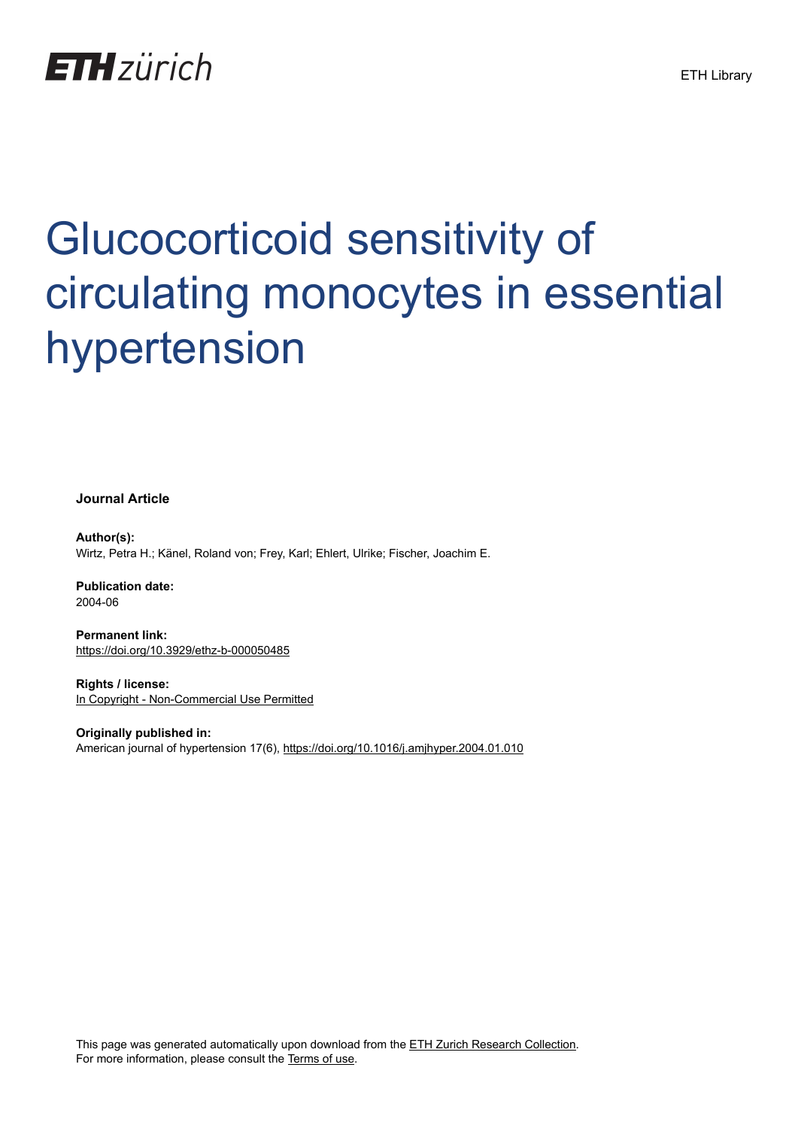

# Glucocorticoid sensitivity of circulating monocytes in essential hypertension

**Journal Article**

**Author(s):** Wirtz, Petra H.; Känel, Roland von; Frey, Karl; Ehlert, Ulrike; Fischer, Joachim E.

**Publication date:** 2004-06

**Permanent link:** <https://doi.org/10.3929/ethz-b-000050485>

**Rights / license:** [In Copyright - Non-Commercial Use Permitted](http://rightsstatements.org/page/InC-NC/1.0/)

**Originally published in:** American journal of hypertension 17(6),<https://doi.org/10.1016/j.amjhyper.2004.01.010>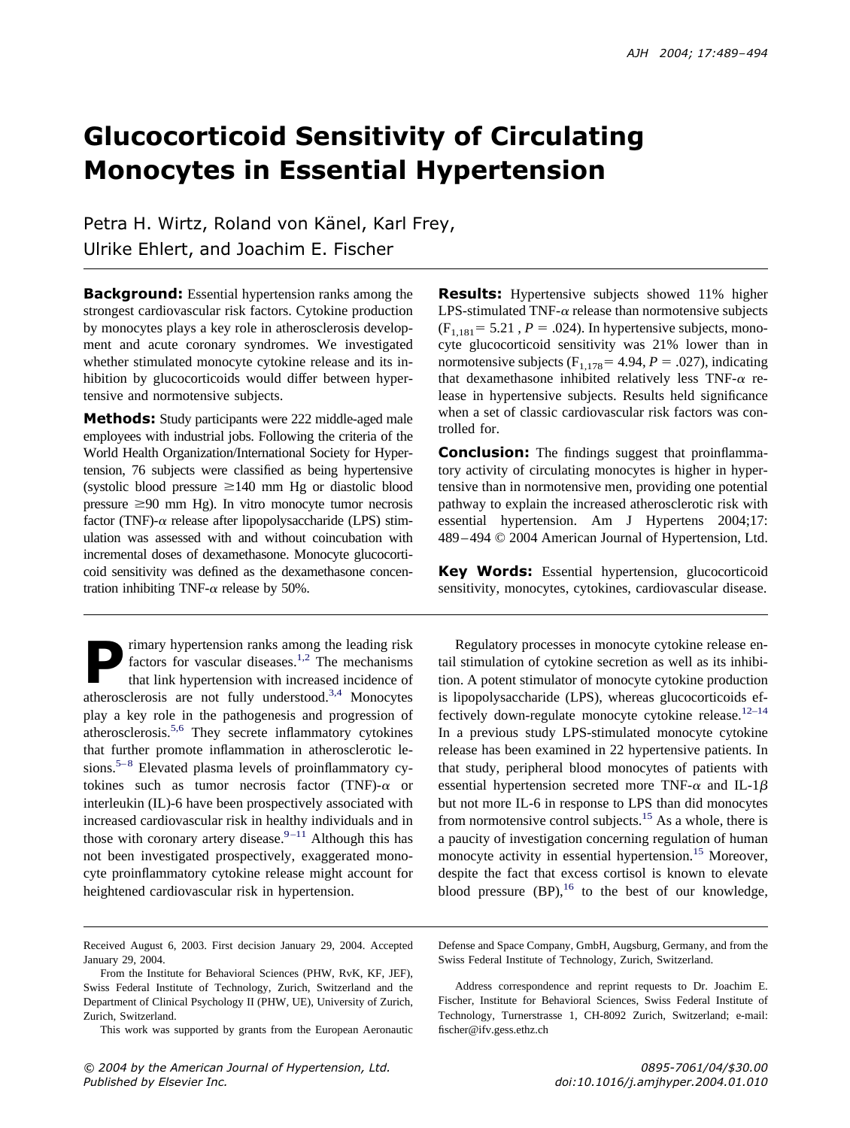# **Glucocorticoid Sensitivity of Circulating Monocytes in Essential Hypertension**

Petra H. Wirtz, Roland von Känel, Karl Frey, Ulrike Ehlert, and Joachim E. Fischer

**Background:** Essential hypertension ranks among the strongest cardiovascular risk factors. Cytokine production by monocytes plays a key role in atherosclerosis development and acute coronary syndromes. We investigated whether stimulated monocyte cytokine release and its inhibition by glucocorticoids would differ between hypertensive and normotensive subjects.

**Methods:** Study participants were 222 middle-aged male employees with industrial jobs. Following the criteria of the World Health Organization/International Society for Hypertension, 76 subjects were classified as being hypertensive (systolic blood pressure  $\geq 140$  mm Hg or diastolic blood pressure  $\geq 90$  mm Hg). In vitro monocyte tumor necrosis factor (TNF)- $\alpha$  release after lipopolysaccharide (LPS) stimulation was assessed with and without coincubation with incremental doses of dexamethasone. Monocyte glucocorticoid sensitivity was defined as the dexamethasone concentration inhibiting TNF- $\alpha$  release by 50%.

rimary hypertension ranks among the leading risk factors for vascular diseases.<sup>1,2</sup> The mechanisms that link hypertension with increased incidence of atherosclerosis are not fully understood.<sup>3,4</sup> Monocytes play a key role in the pathogenesis and progression of atherosclerosis[.5,6](#page-6-0) They secrete inflammatory cytokines that further promote inflammation in atherosclerotic lesions.<sup>5–8</sup> Elevated plasma levels of proinflammatory cytokines such as tumor necrosis factor (TNF)- $\alpha$  or interleukin (IL)-6 have been prospectively associated with increased cardiovascular risk in healthy individuals and in those with coronary artery disease. $9-11$  Although this has not been investigated prospectively, exaggerated monocyte proinflammatory cytokine release might account for heightened cardiovascular risk in hypertension.

**Results:** Hypertensive subjects showed 11% higher LPS-stimulated TNF- $\alpha$  release than normotensive subjects  $(F<sub>1.181</sub> = 5.21, P = .024)$ . In hypertensive subjects, monocyte glucocorticoid sensitivity was 21% lower than in normotensive subjects  $(F_{1,178} = 4.94, P = .027)$ , indicating that dexamethasone inhibited relatively less TNF- $\alpha$  release in hypertensive subjects. Results held significance when a set of classic cardiovascular risk factors was controlled for.

**Conclusion:** The findings suggest that proinflammatory activity of circulating monocytes is higher in hypertensive than in normotensive men, providing one potential pathway to explain the increased atherosclerotic risk with essential hypertension. Am J Hypertens 2004;17: 489–494 © 2004 American Journal of Hypertension, Ltd.

**Key Words:** Essential hypertension, glucocorticoid sensitivity, monocytes, cytokines, cardiovascular disease.

Regulatory processes in monocyte cytokine release entail stimulation of cytokine secretion as well as its inhibition. A potent stimulator of monocyte cytokine production is lipopolysaccharide (LPS), whereas glucocorticoids effectively down-regulate monocyte cytokine release. $12-14$ In a previous study LPS-stimulated monocyte cytokine release has been examined in 22 hypertensive patients. In that study, peripheral blood monocytes of patients with essential hypertension secreted more TNF- $\alpha$  and IL-1 $\beta$ but not more IL-6 in response to LPS than did monocytes from normotensive control subjects.<sup>15</sup> As a whole, there is a paucity of investigation concerning regulation of human monocyte activity in essential hypertension.<sup>15</sup> Moreover, despite the fact that excess cortisol is known to elevate blood pressure  $(BP)$ , <sup>16</sup> to the best of our knowledge,

Defense and Space Company, GmbH, Augsburg, Germany, and from the Swiss Federal Institute of Technology, Zurich, Switzerland.

Address correspondence and reprint requests to Dr. Joachim E. Fischer, Institute for Behavioral Sciences, Swiss Federal Institute of Technology, Turnerstrasse 1, CH-8092 Zurich, Switzerland; e-mail: fischer@ifv.gess.ethz.ch

Received August 6, 2003. First decision January 29, 2004. Accepted January 29, 2004.

From the Institute for Behavioral Sciences (PHW, RvK, KF, JEF), Swiss Federal Institute of Technology, Zurich, Switzerland and the Department of Clinical Psychology II (PHW, UE), University of Zurich, Zurich, Switzerland.

This work was supported by grants from the European Aeronautic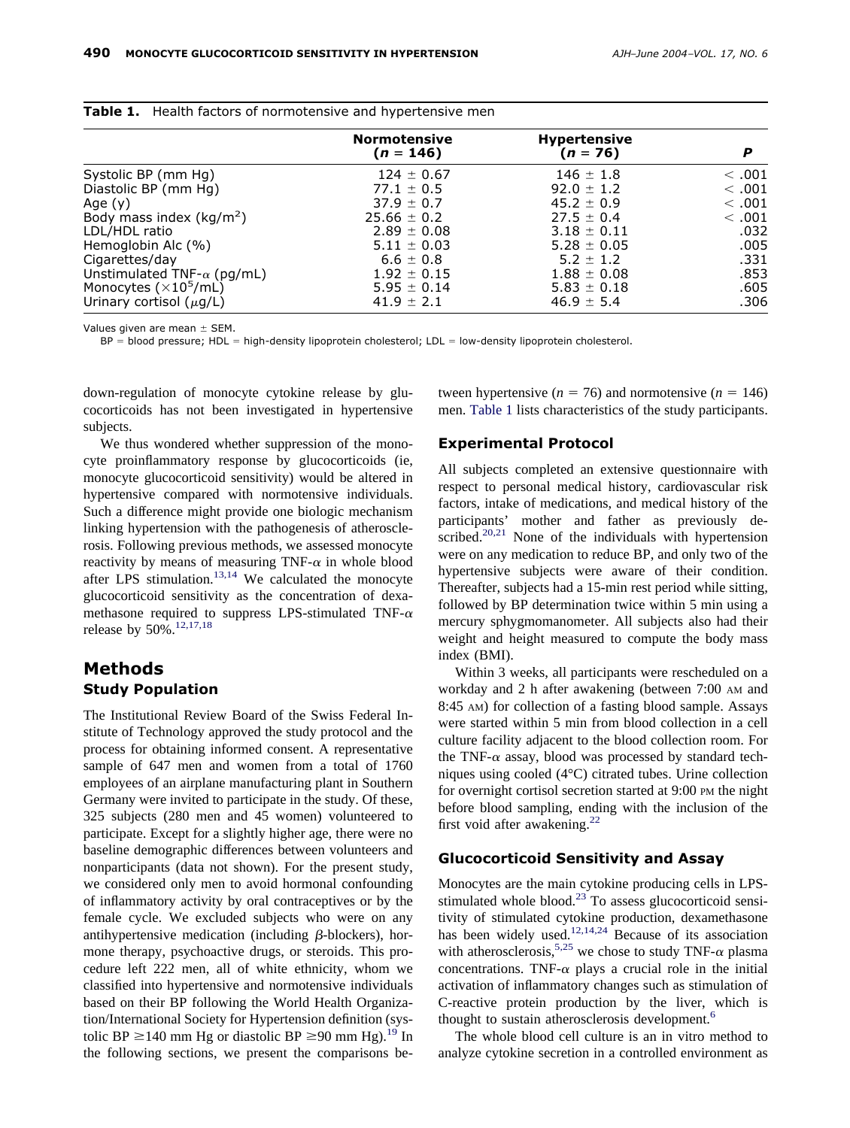|                                    | <b>Normotensive</b><br>$(n = 146)$ | <b>Hypertensive</b><br>$(n = 76)$ | P        |  |  |  |
|------------------------------------|------------------------------------|-----------------------------------|----------|--|--|--|
| Systolic BP (mm Hg)                | $124 \pm 0.67$                     | $146 \pm 1.8$                     | $<$ .001 |  |  |  |
| Diastolic BP (mm Hg)               | 77.1 $\pm$ 0.5                     | $92.0 \pm 1.2$                    | $<$ .001 |  |  |  |
| Age $(y)$                          | $37.9 \pm 0.7$                     | $45.2 \pm 0.9$                    | $<$ .001 |  |  |  |
| Body mass index ( $kg/m2$ )        | $25.66 \pm 0.2$                    | $27.5 \pm 0.4$                    | $<$ .001 |  |  |  |
| LDL/HDL ratio                      | $2.89 \pm 0.08$                    | $3.18 \pm 0.11$                   | .032     |  |  |  |
| Hemoglobin Alc $(\%)$              | $5.11 \pm 0.03$                    | $5.28 \pm 0.05$                   | .005     |  |  |  |
| Cigarettes/day                     | $6.6 \pm 0.8$                      | $5.2 \pm 1.2$                     | .331     |  |  |  |
| Unstimulated TNF- $\alpha$ (pg/mL) | $1.92 \pm 0.15$                    | $1.88 \pm 0.08$                   | .853     |  |  |  |
| Monocytes $(\times 10^5$ /mL)      | $5.95 \pm 0.14$                    | $5.83 \pm 0.18$                   | .605     |  |  |  |
| Urinary cortisol $(\mu g/L)$       | $41.9 \pm 2.1$                     | $46.9 \pm 5.4$                    | .306     |  |  |  |

<span id="page-2-0"></span>

|  |  |  |  | <b>Table 1.</b> Health factors of normotensive and hypertensive mer |  |  |  |  |
|--|--|--|--|---------------------------------------------------------------------|--|--|--|--|
|--|--|--|--|---------------------------------------------------------------------|--|--|--|--|

Values given are mean  $\pm$  SEM.

 $BP = blood pressure$ ;  $HDL = high-density lipoprotein cholesterol$ ; LDL  $= low-density lipoprotein cholesterol$ ; environtein cholesterol.

down-regulation of monocyte cytokine release by glucocorticoids has not been investigated in hypertensive subjects.

We thus wondered whether suppression of the monocyte proinflammatory response by glucocorticoids (ie, monocyte glucocorticoid sensitivity) would be altered in hypertensive compared with normotensive individuals. Such a difference might provide one biologic mechanism linking hypertension with the pathogenesis of atherosclerosis. Following previous methods, we assessed monocyte reactivity by means of measuring TNF- $\alpha$  in whole blood after LPS stimulation. $13,14$  We calculated the monocyte glucocorticoid sensitivity as the concentration of dexamethasone required to suppress LPS-stimulated TNF- $\alpha$ release by 50%.<sup>12,17,18</sup>

### **Methods Study Population**

The Institutional Review Board of the Swiss Federal Institute of Technology approved the study protocol and the process for obtaining informed consent. A representative sample of 647 men and women from a total of 1760 employees of an airplane manufacturing plant in Southern Germany were invited to participate in the study. Of these, 325 subjects (280 men and 45 women) volunteered to participate. Except for a slightly higher age, there were no baseline demographic differences between volunteers and nonparticipants (data not shown). For the present study, we considered only men to avoid hormonal confounding of inflammatory activity by oral contraceptives or by the female cycle. We excluded subjects who were on any antihypertensive medication (including  $\beta$ -blockers), hormone therapy, psychoactive drugs, or steroids. This procedure left 222 men, all of white ethnicity, whom we classified into hypertensive and normotensive individuals based on their BP following the World Health Organization/International Society for Hypertension definition (systolic BP  $\geq$ 140 mm Hg or diastolic BP  $\geq$ 90 mm Hg).<sup>19</sup> In the following sections, we present the comparisons be-

tween hypertensive ( $n = 76$ ) and normotensive ( $n = 146$ ) men. Table 1 lists characteristics of the study participants.

#### **Experimental Protocol**

All subjects completed an extensive questionnaire with respect to personal medical history, cardiovascular risk factors, intake of medications, and medical history of the participants' mother and father as previously described.<sup>20,21</sup> None of the individuals with hypertension were on any medication to reduce BP, and only two of the hypertensive subjects were aware of their condition. Thereafter, subjects had a 15-min rest period while sitting, followed by BP determination twice within 5 min using a mercury sphygmomanometer. All subjects also had their weight and height measured to compute the body mass index (BMI).

Within 3 weeks, all participants were rescheduled on a workday and 2 h after awakening (between 7:00 AM and 8:45 AM) for collection of a fasting blood sample. Assays were started within 5 min from blood collection in a cell culture facility adjacent to the blood collection room. For the TNF- $\alpha$  assay, blood was processed by standard techniques using cooled (4°C) citrated tubes. Urine collection for overnight cortisol secretion started at 9:00 PM the night before blood sampling, ending with the inclusion of the first void after awakening.<sup>22</sup>

#### **Glucocorticoid Sensitivity and Assay**

Monocytes are the main cytokine producing cells in LPSstimulated whole blood. $^{23}$  To assess glucocorticoid sensitivity of stimulated cytokine production, dexamethasone has been widely used.<sup>12,14,24</sup> Because of its association with atherosclerosis,<sup>5,25</sup> we chose to study TNF- $\alpha$  plasma concentrations. TNF- $\alpha$  plays a crucial role in the initial activation of inflammatory changes such as stimulation of C-reactive protein production by the liver, which is thought to sustain atherosclerosis development.<sup>6</sup>

The whole blood cell culture is an in vitro method to analyze cytokine secretion in a controlled environment as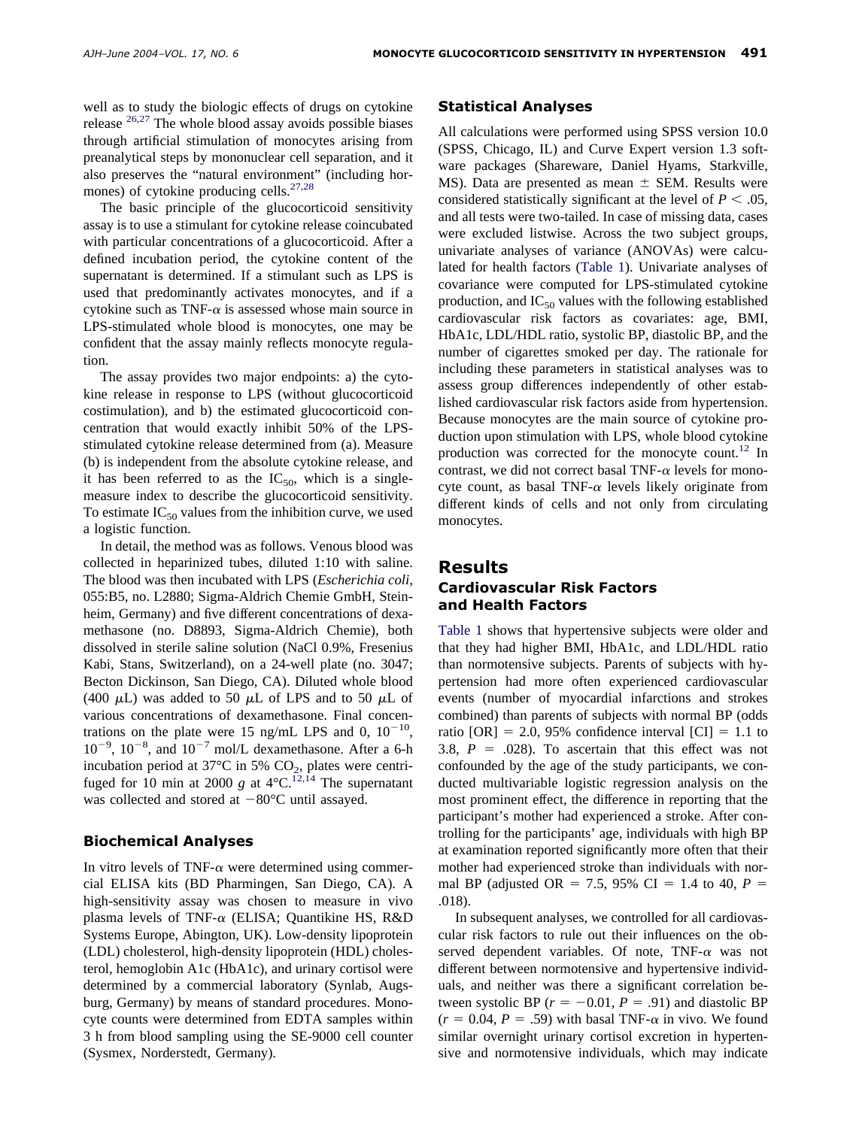well as to study the biologic effects of drugs on cytokine release  $^{26,27}$  $^{26,27}$  $^{26,27}$  The whole blood assay avoids possible biases through artificial stimulation of monocytes arising from preanalytical steps by mononuclear cell separation, and it also preserves the "natural environment" (including hormones) of cytokine producing cells. $27,28$ 

The basic principle of the glucocorticoid sensitivity assay is to use a stimulant for cytokine release coincubated with particular concentrations of a glucocorticoid. After a defined incubation period, the cytokine content of the supernatant is determined. If a stimulant such as LPS is used that predominantly activates monocytes, and if a cytokine such as TNF- $\alpha$  is assessed whose main source in LPS-stimulated whole blood is monocytes, one may be confident that the assay mainly reflects monocyte regulation.

The assay provides two major endpoints: a) the cytokine release in response to LPS (without glucocorticoid costimulation), and b) the estimated glucocorticoid concentration that would exactly inhibit 50% of the LPSstimulated cytokine release determined from (a). Measure (b) is independent from the absolute cytokine release, and it has been referred to as the  $IC_{50}$ , which is a singlemeasure index to describe the glucocorticoid sensitivity. To estimate  $IC_{50}$  values from the inhibition curve, we used a logistic function.

In detail, the method was as follows. Venous blood was collected in heparinized tubes, diluted 1:10 with saline. The blood was then incubated with LPS (*Escherichia coli,* 055:B5, no. L2880; Sigma-Aldrich Chemie GmbH, Steinheim, Germany) and five different concentrations of dexamethasone (no. D8893, Sigma-Aldrich Chemie), both dissolved in sterile saline solution (NaCl 0.9%, Fresenius Kabi, Stans, Switzerland), on a 24-well plate (no. 3047; Becton Dickinson, San Diego, CA). Diluted whole blood (400  $\mu$ L) was added to 50  $\mu$ L of LPS and to 50  $\mu$ L of various concentrations of dexamethasone. Final concentrations on the plate were 15 ng/mL LPS and 0,  $10^{-10}$ ,  $10^{-9}$ ,  $10^{-8}$ , and  $10^{-7}$  mol/L dexamethasone. After a 6-h incubation period at 37 $^{\circ}$ C in 5% CO<sub>2</sub>, plates were centrifuged for 10 min at 2000 *g* at  $4^{\circ}C$ .<sup>12,14</sup> The supernatant was collected and stored at  $-80^{\circ}$ C until assayed.

#### **Biochemical Analyses**

In vitro levels of TNF- $\alpha$  were determined using commercial ELISA kits (BD Pharmingen, San Diego, CA). A high-sensitivity assay was chosen to measure in vivo plasma levels of TNF- $\alpha$  (ELISA; Quantikine HS, R&D Systems Europe, Abington, UK). Low-density lipoprotein (LDL) cholesterol, high-density lipoprotein (HDL) cholesterol, hemoglobin A1c (HbA1c), and urinary cortisol were determined by a commercial laboratory (Synlab, Augsburg, Germany) by means of standard procedures. Monocyte counts were determined from EDTA samples within 3 h from blood sampling using the SE-9000 cell counter (Sysmex, Norderstedt, Germany).

#### **Statistical Analyses**

All calculations were performed using SPSS version 10.0 (SPSS, Chicago, IL) and Curve Expert version 1.3 software packages (Shareware, Daniel Hyams, Starkville, MS). Data are presented as mean  $\pm$  SEM. Results were considered statistically significant at the level of  $P < .05$ , and all tests were two-tailed. In case of missing data, cases were excluded listwise. Across the two subject groups, univariate analyses of variance (ANOVAs) were calculated for health factors [\(Table 1\)](#page-2-0). Univariate analyses of covariance were computed for LPS-stimulated cytokine production, and  $IC_{50}$  values with the following established cardiovascular risk factors as covariates: age, BMI, HbA1c, LDL/HDL ratio, systolic BP, diastolic BP, and the number of cigarettes smoked per day. The rationale for including these parameters in statistical analyses was to assess group differences independently of other established cardiovascular risk factors aside from hypertension. Because monocytes are the main source of cytokine production upon stimulation with LPS, whole blood cytokine production was corrected for the monocyte count.<sup>12</sup> In contrast, we did not correct basal TNF- $\alpha$  levels for monocyte count, as basal TNF- $\alpha$  levels likely originate from different kinds of cells and not only from circulating monocytes.

# **Results Cardiovascular Risk Factors and Health Factors**

[Table 1](#page-2-0) shows that hypertensive subjects were older and that they had higher BMI, HbA1c, and LDL/HDL ratio than normotensive subjects. Parents of subjects with hypertension had more often experienced cardiovascular events (number of myocardial infarctions and strokes combined) than parents of subjects with normal BP (odds ratio  $[OR] = 2.0, 95\%$  confidence interval  $[CI] = 1.1$  to 3.8,  $P = .028$ ). To ascertain that this effect was not confounded by the age of the study participants, we conducted multivariable logistic regression analysis on the most prominent effect, the difference in reporting that the participant's mother had experienced a stroke. After controlling for the participants' age, individuals with high BP at examination reported significantly more often that their mother had experienced stroke than individuals with normal BP (adjusted OR = 7.5, 95% CI = 1.4 to 40,  $P =$ .018).

In subsequent analyses, we controlled for all cardiovascular risk factors to rule out their influences on the observed dependent variables. Of note,  $TNF-\alpha$  was not different between normotensive and hypertensive individuals, and neither was there a significant correlation between systolic BP  $(r = -0.01, P = .91)$  and diastolic BP  $(r = 0.04, P = .59)$  with basal TNF- $\alpha$  in vivo. We found similar overnight urinary cortisol excretion in hypertensive and normotensive individuals, which may indicate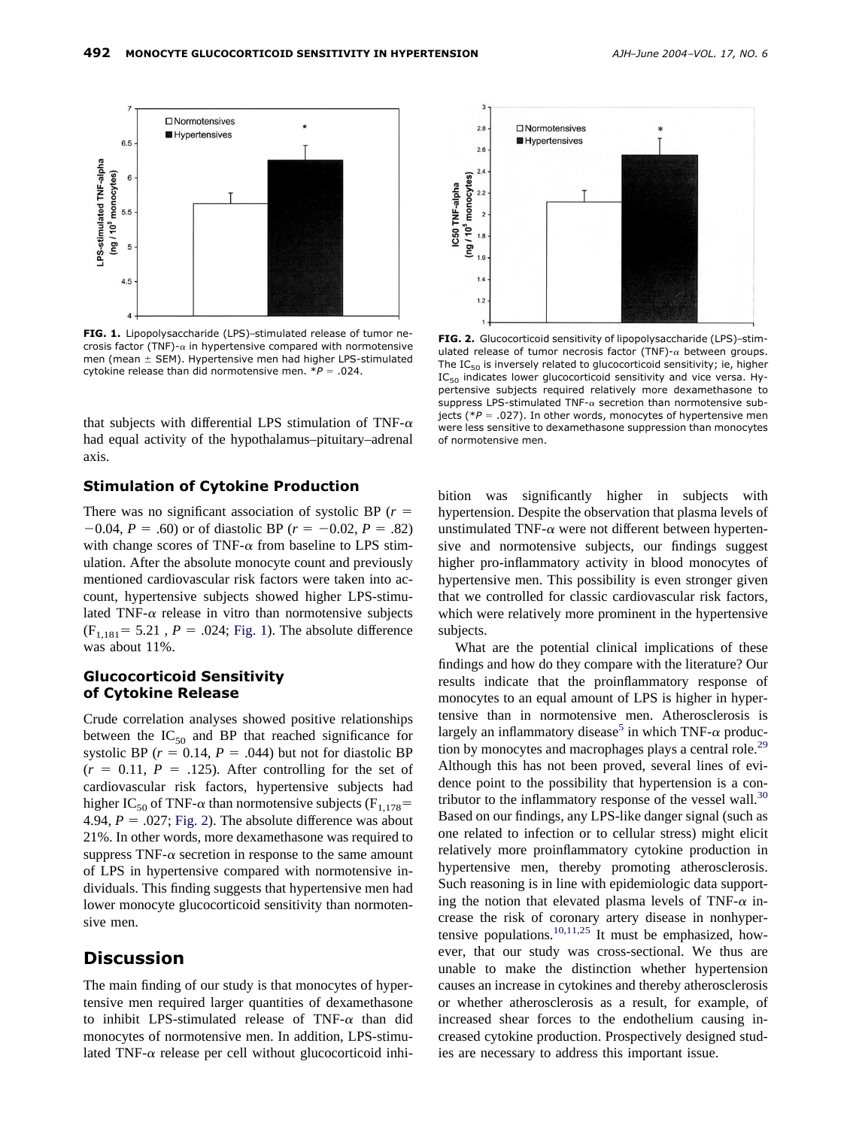

**FIG. 1.** Lipopolysaccharide (LPS)–stimulated release of tumor necrosis factor (TNF)- $\alpha$  in hypertensive compared with normotensive men (mean  $\pm$  SEM). Hypertensive men had higher LPS-stimulated cytokine release than did normotensive men.  $*P = .024$ .

that subjects with differential LPS stimulation of TNF- $\alpha$ had equal activity of the hypothalamus–pituitary–adrenal axis.

#### **Stimulation of Cytokine Production**

There was no significant association of systolic BP (*r*  $-0.04$ ,  $P = .60$ ) or of diastolic BP ( $r = -0.02$ ,  $P = .82$ ) with change scores of TNF- $\alpha$  from baseline to LPS stimulation. After the absolute monocyte count and previously mentioned cardiovascular risk factors were taken into account, hypertensive subjects showed higher LPS-stimulated TNF- $\alpha$  release in vitro than normotensive subjects  $(F_{1,181} = 5.21, P = .024; Fig. 1)$ . The absolute difference was about 11%.

#### **Glucocorticoid Sensitivity of Cytokine Release**

Crude correlation analyses showed positive relationships between the  $IC_{50}$  and BP that reached significance for systolic BP  $(r = 0.14, P = .044)$  but not for diastolic BP  $(r = 0.11, P = .125)$ . After controlling for the set of cardiovascular risk factors, hypertensive subjects had higher IC<sub>50</sub> of TNF- $\alpha$  than normotensive subjects (F<sub>1,178</sub>= 4.94,  $P = .027$ ; Fig. 2). The absolute difference was about 21%. In other words, more dexamethasone was required to suppress TNF- $\alpha$  secretion in response to the same amount of LPS in hypertensive compared with normotensive individuals. This finding suggests that hypertensive men had lower monocyte glucocorticoid sensitivity than normotensive men.

# **Discussion**

The main finding of our study is that monocytes of hypertensive men required larger quantities of dexamethasone to inhibit LPS-stimulated release of TNF- $\alpha$  than did monocytes of normotensive men. In addition, LPS-stimulated TNF- $\alpha$  release per cell without glucocorticoid inhi-



**FIG. 2.** Glucocorticoid sensitivity of lipopolysaccharide (LPS)–stimulated release of tumor necrosis factor (TNF)- $\alpha$  between groups. The  $IC_{50}$  is inversely related to glucocorticoid sensitivity; ie, higher IC<sub>50</sub> indicates lower glucocorticoid sensitivity and vice versa. Hypertensive subjects required relatively more dexamethasone to suppress LPS-stimulated TNF- $\alpha$  secretion than normotensive subjects (\**P* .027). In other words, monocytes of hypertensive men were less sensitive to dexamethasone suppression than monocytes of normotensive men.

bition was significantly higher in subjects with hypertension. Despite the observation that plasma levels of unstimulated TNF- $\alpha$  were not different between hypertensive and normotensive subjects, our findings suggest higher pro-inflammatory activity in blood monocytes of hypertensive men. This possibility is even stronger given that we controlled for classic cardiovascular risk factors, which were relatively more prominent in the hypertensive subjects.

What are the potential clinical implications of these findings and how do they compare with the literature? Our results indicate that the proinflammatory response of monocytes to an equal amount of LPS is higher in hypertensive than in normotensive men. Atherosclerosis is largely an inflammatory disease<sup>5</sup> in which TNF- $\alpha$  production by monocytes and macrophages plays a central role.<sup>29</sup> Although this has not been proved, several lines of evidence point to the possibility that hypertension is a contributor to the inflammatory response of the vessel wall. $30$ Based on our findings, any LPS-like danger signal (such as one related to infection or to cellular stress) might elicit relatively more proinflammatory cytokine production in hypertensive men, thereby promoting atherosclerosis. Such reasoning is in line with epidemiologic data supporting the notion that elevated plasma levels of TNF- $\alpha$  increase the risk of coronary artery disease in nonhypertensive populations.<sup>10,11,25</sup> It must be emphasized, however, that our study was cross-sectional. We thus are unable to make the distinction whether hypertension causes an increase in cytokines and thereby atherosclerosis or whether atherosclerosis as a result, for example, of increased shear forces to the endothelium causing increased cytokine production. Prospectively designed studies are necessary to address this important issue.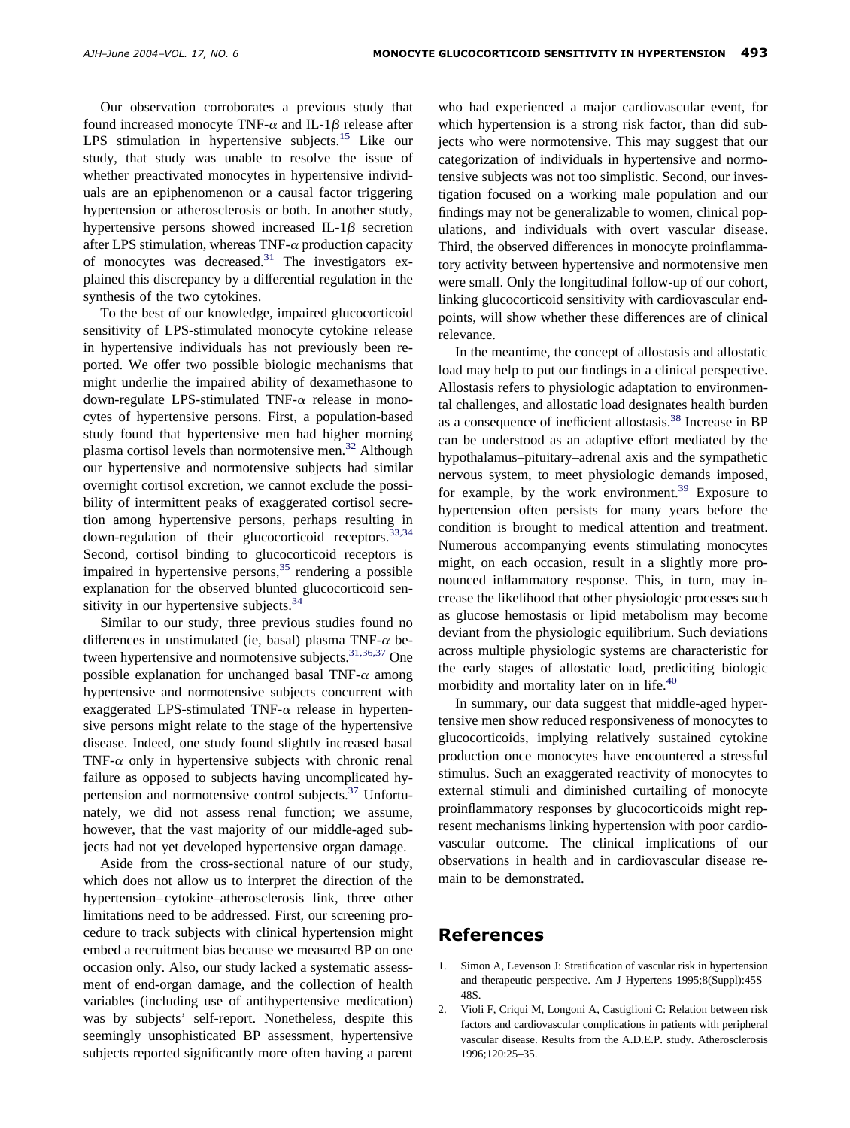<span id="page-5-0"></span>Our observation corroborates a previous study that found increased monocyte TNF- $\alpha$  and IL-1 $\beta$  release after LPS stimulation in hypertensive subjects.<sup>15</sup> Like our study, that study was unable to resolve the issue of whether preactivated monocytes in hypertensive individuals are an epiphenomenon or a causal factor triggering hypertension or atherosclerosis or both. In another study, hypertensive persons showed increased IL-1 $\beta$  secretion after LPS stimulation, whereas TNF- $\alpha$  production capacity of monocytes was decreased.<sup>31</sup> The investigators explained this discrepancy by a differential regulation in the synthesis of the two cytokines.

To the best of our knowledge, impaired glucocorticoid sensitivity of LPS-stimulated monocyte cytokine release in hypertensive individuals has not previously been reported. We offer two possible biologic mechanisms that might underlie the impaired ability of dexamethasone to down-regulate LPS-stimulated TNF- $\alpha$  release in monocytes of hypertensive persons. First, a population-based study found that hypertensive men had higher morning plasma cortisol levels than normotensive men.<sup>32</sup> Although our hypertensive and normotensive subjects had similar overnight cortisol excretion, we cannot exclude the possibility of intermittent peaks of exaggerated cortisol secretion among hypertensive persons, perhaps resulting in down-regulation of their glucocorticoid receptors.<sup>33,34</sup> Second, cortisol binding to glucocorticoid receptors is impaired in hypertensive persons,  $35$  rendering a possible explanation for the observed blunted glucocorticoid sensitivity in our hypertensive subjects.<sup>34</sup>

Similar to our study, three previous studies found no differences in unstimulated (ie, basal) plasma TNF- $\alpha$  between hypertensive and normotensive subjects.<sup>31,36,37</sup> One possible explanation for unchanged basal TNF- $\alpha$  among hypertensive and normotensive subjects concurrent with exaggerated LPS-stimulated TNF- $\alpha$  release in hypertensive persons might relate to the stage of the hypertensive disease. Indeed, one study found slightly increased basal TNF- $\alpha$  only in hypertensive subjects with chronic renal failure as opposed to subjects having uncomplicated hypertension and normotensive control subjects.<sup>37</sup> Unfortunately, we did not assess renal function; we assume, however, that the vast majority of our middle-aged subjects had not yet developed hypertensive organ damage.

Aside from the cross-sectional nature of our study, which does not allow us to interpret the direction of the hypertension–cytokine–atherosclerosis link, three other limitations need to be addressed. First, our screening procedure to track subjects with clinical hypertension might embed a recruitment bias because we measured BP on one occasion only. Also, our study lacked a systematic assessment of end-organ damage, and the collection of health variables (including use of antihypertensive medication) was by subjects' self-report. Nonetheless, despite this seemingly unsophisticated BP assessment, hypertensive subjects reported significantly more often having a parent

who had experienced a major cardiovascular event, for which hypertension is a strong risk factor, than did subjects who were normotensive. This may suggest that our categorization of individuals in hypertensive and normotensive subjects was not too simplistic. Second, our investigation focused on a working male population and our findings may not be generalizable to women, clinical populations, and individuals with overt vascular disease. Third, the observed differences in monocyte proinflammatory activity between hypertensive and normotensive men were small. Only the longitudinal follow-up of our cohort, linking glucocorticoid sensitivity with cardiovascular endpoints, will show whether these differences are of clinical relevance.

In the meantime, the concept of allostasis and allostatic load may help to put our findings in a clinical perspective. Allostasis refers to physiologic adaptation to environmental challenges, and allostatic load designates health burden as a consequence of inefficient allostasis.<sup>38</sup> Increase in BP can be understood as an adaptive effort mediated by the hypothalamus–pituitary–adrenal axis and the sympathetic nervous system, to meet physiologic demands imposed, for example, by the work environment.<sup>39</sup> Exposure to hypertension often persists for many years before the condition is brought to medical attention and treatment. Numerous accompanying events stimulating monocytes might, on each occasion, result in a slightly more pronounced inflammatory response. This, in turn, may increase the likelihood that other physiologic processes such as glucose hemostasis or lipid metabolism may become deviant from the physiologic equilibrium. Such deviations across multiple physiologic systems are characteristic for the early stages of allostatic load, prediciting biologic morbidity and mortality later on in life.<sup>40</sup>

In summary, our data suggest that middle-aged hypertensive men show reduced responsiveness of monocytes to glucocorticoids, implying relatively sustained cytokine production once monocytes have encountered a stressful stimulus. Such an exaggerated reactivity of monocytes to external stimuli and diminished curtailing of monocyte proinflammatory responses by glucocorticoids might represent mechanisms linking hypertension with poor cardiovascular outcome. The clinical implications of our observations in health and in cardiovascular disease remain to be demonstrated.

# **References**

- 1. Simon A, Levenson J: Stratification of vascular risk in hypertension and therapeutic perspective. Am J Hypertens 1995;8(Suppl):45S– 48S.
- 2. Violi F, Criqui M, Longoni A, Castiglioni C: Relation between risk factors and cardiovascular complications in patients with peripheral vascular disease. Results from the A.D.E.P. study. Atherosclerosis 1996;120:25–35.